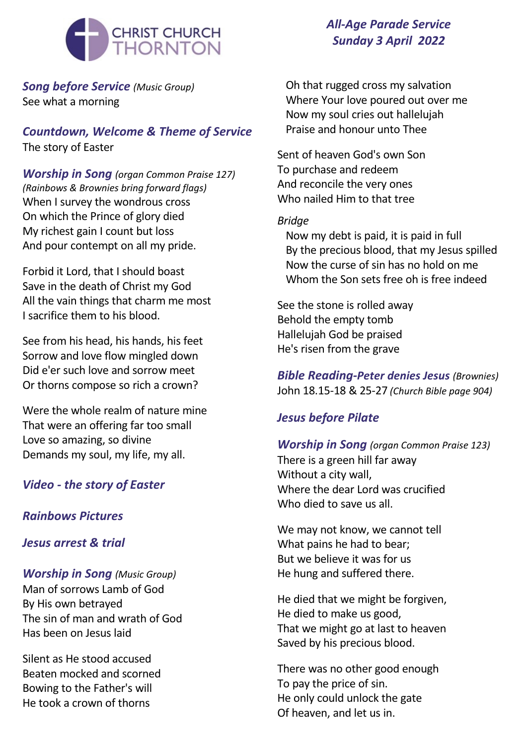

*Song before Service (Music Group)* See what a morning

### *Countdown, Welcome & Theme of Service* The story of Easter

*Worship in Song (organ Common Praise 127) (Rainbows & Brownies bring forward flags)* When I survey the wondrous cross On which the Prince of glory died My richest gain I count but loss And pour contempt on all my pride.

Forbid it Lord, that I should boast Save in the death of Christ my God All the vain things that charm me most I sacrifice them to his blood.

See from his head, his hands, his feet Sorrow and love flow mingled down Did e'er such love and sorrow meet Or thorns compose so rich a crown?

Were the whole realm of nature mine That were an offering far too small Love so amazing, so divine Demands my soul, my life, my all.

## *Video - the story of Easter*

## *Rainbows Pictures*

## *Jesus arrest & trial*

*Worship in Song (Music Group)* Man of sorrows Lamb of God By His own betrayed The sin of man and wrath of God Has been on Jesus laid

Silent as He stood accused Beaten mocked and scorned Bowing to the Father's will He took a crown of thorns

# *All-Age Parade Service Sunday 3 April 2022*

 Oh that rugged cross my salvation Where Your love poured out over me Now my soul cries out hallelujah Praise and honour unto Thee

Sent of heaven God's own Son To purchase and redeem And reconcile the very ones Who nailed Him to that tree

### *Bridge*

 Now my debt is paid, it is paid in full By the precious blood, that my Jesus spilled Now the curse of sin has no hold on me Whom the Son sets free oh is free indeed

See the stone is rolled away Behold the empty tomb Hallelujah God be praised He's risen from the grave

*Bible Reading-Peter denies Jesus (Brownies)* John 18.15-18 & 25-27 *(Church Bible page 904)*

# *Jesus before Pilate*

#### *Worship in Song (organ Common Praise 123)* There is a green hill far away

Without a city wall, Where the dear Lord was crucified Who died to save us all.

We may not know, we cannot tell What pains he had to bear; But we believe it was for us He hung and suffered there.

He died that we might be forgiven, He died to make us good, That we might go at last to heaven Saved by his precious blood.

There was no other good enough To pay the price of sin. He only could unlock the gate Of heaven, and let us in.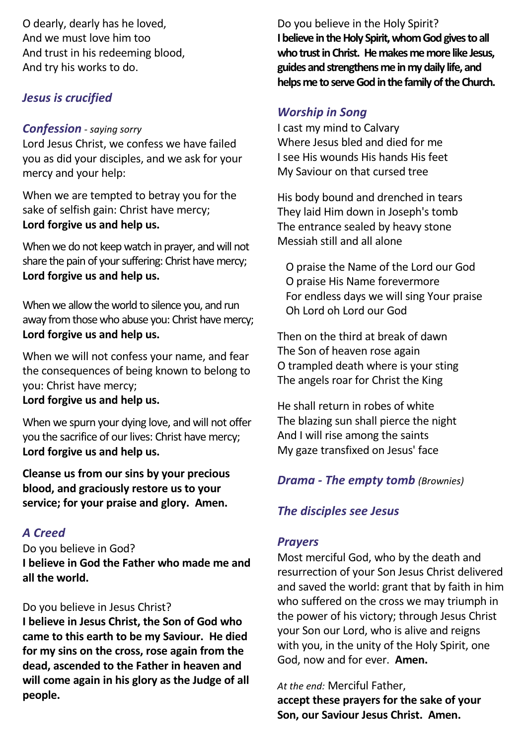O dearly, dearly has he loved, And we must love him too And trust in his redeeming blood, And try his works to do.

# *Jesus is crucified*

### *Confession - saying sorry*

Lord Jesus Christ, we confess we have failed you as did your disciples, and we ask for your mercy and your help:

When we are tempted to betray you for the sake of selfish gain: Christ have mercy; **Lord forgive us and help us.**

When we do not keep watch in prayer, and will not share the pain of your suffering: Christ have mercy; **Lord forgive us and help us.**

When we allow the world to silence you, and run away from those who abuse you: Christ have mercy; **Lord forgive us and help us.**

When we will not confess your name, and fear the consequences of being known to belong to you: Christ have mercy;

## **Lord forgive us and help us.**

When we spurn your dying love, and will not offer you the sacrifice of our lives: Christ have mercy; **Lord forgive us and help us.**

**Cleanse us from our sins by your precious blood, and graciously restore us to your service; for your praise and glory. Amen.**

# *A Creed*

Do you believe in God?

**I believe in God the Father who made me and all the world.**

## Do you believe in Jesus Christ?

**I believe in Jesus Christ, the Son of God who came to this earth to be my Saviour. He died for my sins on the cross, rose again from the dead, ascended to the Father in heaven and will come again in his glory as the Judge of all people.**

## Do you believe in the Holy Spirit?

**I believe in the Holy Spirit, whom God gives to all** who trust in Christ. He makes me more like Jesus, **guidesandstrengthensmeinmydaily life, and** helps me to serve God in the family of the Church.

# *Worship in Song*

I cast my mind to Calvary Where Jesus bled and died for me I see His wounds His hands His feet My Saviour on that cursed tree

His body bound and drenched in tears They laid Him down in Joseph's tomb The entrance sealed by heavy stone Messiah still and all alone

 O praise the Name of the Lord our God O praise His Name forevermore For endless days we will sing Your praise Oh Lord oh Lord our God

Then on the third at break of dawn The Son of heaven rose again O trampled death where is your sting The angels roar for Christ the King

He shall return in robes of white The blazing sun shall pierce the night And I will rise among the saints My gaze transfixed on Jesus' face

# *Drama - The empty tomb (Brownies)*

# *The disciples see Jesus*

## *Prayers*

Most merciful God, who by the death and resurrection of your Son Jesus Christ delivered and saved the world: grant that by faith in him who suffered on the cross we may triumph in the power of his victory; through Jesus Christ your Son our Lord, who is alive and reigns with you, in the unity of the Holy Spirit, one God, now and for ever. **Amen.**

*At the end:* Merciful Father, **accept these prayers for the sake of your Son, our Saviour Jesus Christ. Amen.**